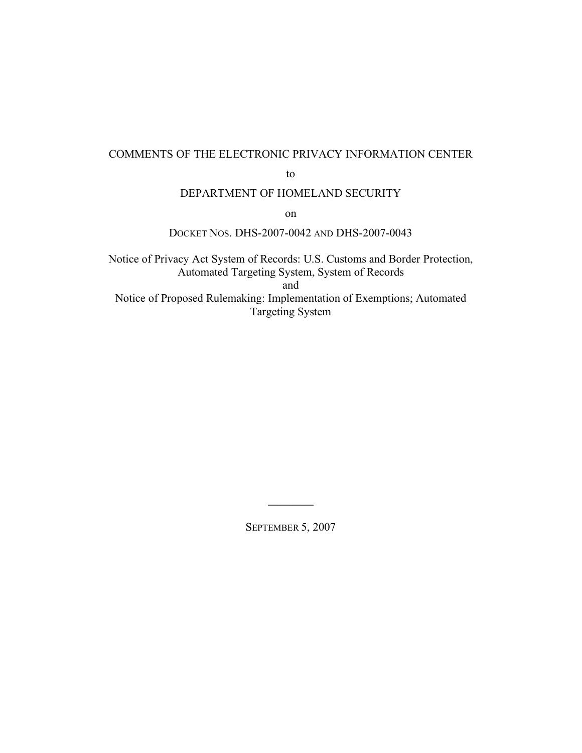#### COMMENTS OF THE ELECTRONIC PRIVACY INFORMATION CENTER

to

#### DEPARTMENT OF HOMELAND SECURITY

on

#### DOCKET NOS. DHS-2007-0042 AND DHS-2007-0043

Notice of Privacy Act System of Records: U.S. Customs and Border Protection, Automated Targeting System, System of Records and Notice of Proposed Rulemaking: Implementation of Exemptions; Automated Targeting System

SEPTEMBER 5, 2007

 $\overline{\phantom{a}}$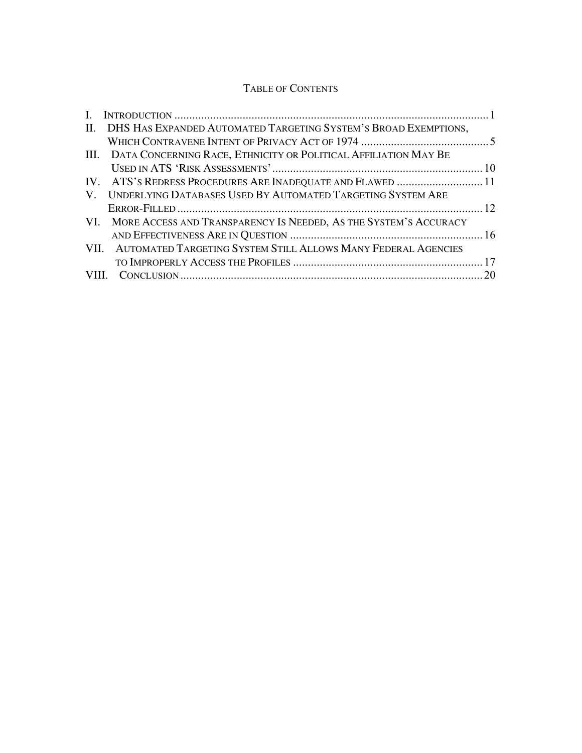### TABLE OF CONTENTS

| L. |                                                                      |  |
|----|----------------------------------------------------------------------|--|
|    | II. DHS HAS EXPANDED AUTOMATED TARGETING SYSTEM'S BROAD EXEMPTIONS,  |  |
|    |                                                                      |  |
|    | III. DATA CONCERNING RACE, ETHNICITY OR POLITICAL AFFILIATION MAY BE |  |
|    |                                                                      |  |
|    | IV. ATS'S REDRESS PROCEDURES ARE INADEQUATE AND FLAWED  11           |  |
| V. | UNDERLYING DATABASES USED BY AUTOMATED TARGETING SYSTEM ARE          |  |
|    |                                                                      |  |
|    | VI. MORE ACCESS AND TRANSPARENCY IS NEEDED, AS THE SYSTEM'S ACCURACY |  |
|    |                                                                      |  |
|    | VII. AUTOMATED TARGETING SYSTEM STILL ALLOWS MANY FEDERAL AGENCIES   |  |
|    |                                                                      |  |
|    |                                                                      |  |
|    |                                                                      |  |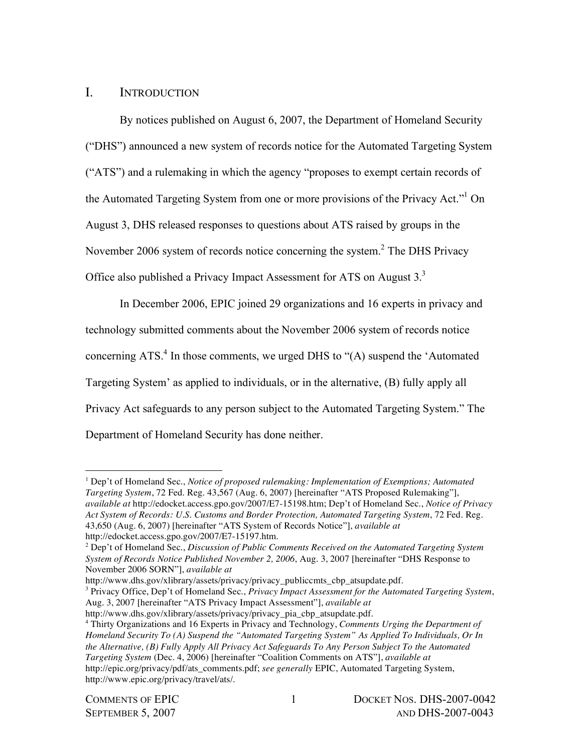## I. INTRODUCTION

By notices published on August 6, 2007, the Department of Homeland Security ("DHS") announced a new system of records notice for the Automated Targeting System ("ATS") and a rulemaking in which the agency "proposes to exempt certain records of the Automated Targeting System from one or more provisions of the Privacy Act."<sup>1</sup> On August 3, DHS released responses to questions about ATS raised by groups in the November 2006 system of records notice concerning the system.<sup>2</sup> The DHS Privacy Office also published a Privacy Impact Assessment for ATS on August 3.<sup>3</sup>

In December 2006, EPIC joined 29 organizations and 16 experts in privacy and technology submitted comments about the November 2006 system of records notice concerning ATS. <sup>4</sup> In those comments, we urged DHS to "(A) suspend the 'Automated Targeting System' as applied to individuals, or in the alternative, (B) fully apply all Privacy Act safeguards to any person subject to the Automated Targeting System." The Department of Homeland Security has done neither.

<sup>1</sup> Dep't of Homeland Sec., *Notice of proposed rulemaking: Implementation of Exemptions; Automated Targeting System*, 72 Fed. Reg. 43,567 (Aug. 6, 2007) [hereinafter "ATS Proposed Rulemaking"], *available at* http://edocket.access.gpo.gov/2007/E7-15198.htm; Dep't of Homeland Sec., *Notice of Privacy Act System of Records: U.S. Customs and Border Protection, Automated Targeting System*, 72 Fed. Reg. 43,650 (Aug. 6, 2007) [hereinafter "ATS System of Records Notice"], *available at* http://edocket.access.gpo.gov/2007/E7-15197.htm.

http://www.dhs.gov/xlibrary/assets/privacy/privacy\_publiccmts\_cbp\_atsupdate.pdf.

<sup>3</sup> Privacy Office, Dep't of Homeland Sec., *Privacy Impact Assessment for the Automated Targeting System*, Aug. 3, 2007 [hereinafter "ATS Privacy Impact Assessment"], *available at*

http://www.dhs.gov/xlibrary/assets/privacy/privacy\_pia\_cbp\_atsupdate.pdf.

<sup>2</sup> Dep't of Homeland Sec., *Discussion of Public Comments Received on the Automated Targeting System System of Records Notice Published November 2, 2006*, Aug. 3, 2007 [hereinafter "DHS Response to November 2006 SORN"], *available at*

<sup>4</sup> Thirty Organizations and 16 Experts in Privacy and Technology, *Comments Urging the Department of Homeland Security To (A) Suspend the "Automated Targeting System" As Applied To Individuals, Or In the Alternative, (B) Fully Apply All Privacy Act Safeguards To Any Person Subject To the Automated Targeting System* (Dec. 4, 2006) [hereinafter "Coalition Comments on ATS"], *available at* http://epic.org/privacy/pdf/ats\_comments.pdf; *see generally* EPIC, Automated Targeting System, http://www.epic.org/privacy/travel/ats/.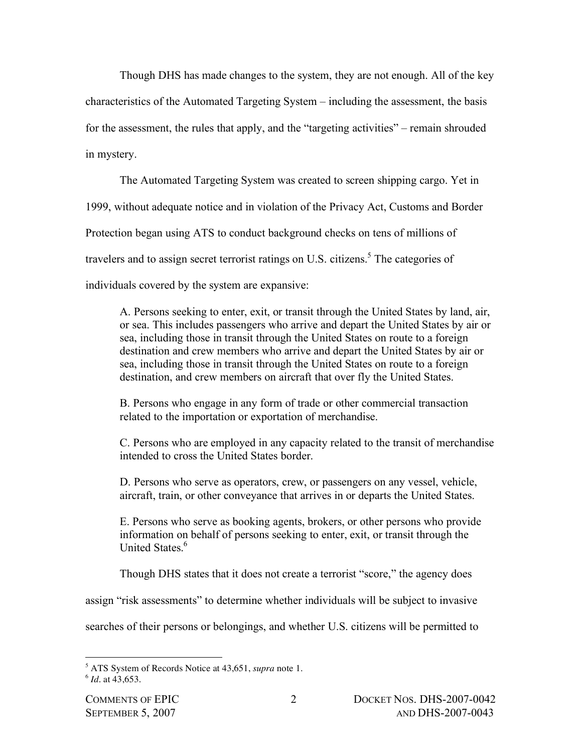Though DHS has made changes to the system, they are not enough. All of the key characteristics of the Automated Targeting System – including the assessment, the basis for the assessment, the rules that apply, and the "targeting activities" – remain shrouded in mystery.

The Automated Targeting System was created to screen shipping cargo. Yet in 1999, without adequate notice and in violation of the Privacy Act, Customs and Border Protection began using ATS to conduct background checks on tens of millions of travelers and to assign secret terrorist ratings on U.S. citizens. <sup>5</sup> The categories of individuals covered by the system are expansive:

A. Persons seeking to enter, exit, or transit through the United States by land, air, or sea. This includes passengers who arrive and depart the United States by air or sea, including those in transit through the United States on route to a foreign destination and crew members who arrive and depart the United States by air or sea, including those in transit through the United States on route to a foreign destination, and crew members on aircraft that over fly the United States.

B. Persons who engage in any form of trade or other commercial transaction related to the importation or exportation of merchandise.

C. Persons who are employed in any capacity related to the transit of merchandise intended to cross the United States border.

D. Persons who serve as operators, crew, or passengers on any vessel, vehicle, aircraft, train, or other conveyance that arrives in or departs the United States.

E. Persons who serve as booking agents, brokers, or other persons who provide information on behalf of persons seeking to enter, exit, or transit through the United States.<sup>6</sup>

Though DHS states that it does not create a terrorist "score," the agency does

assign "risk assessments" to determine whether individuals will be subject to invasive

searches of their persons or belongings, and whether U.S. citizens will be permitted to

 $\overline{a}$ <sup>5</sup> ATS System of Records Notice at 43,651, *supra* note 1.

<sup>6</sup> *Id*. at 43,653.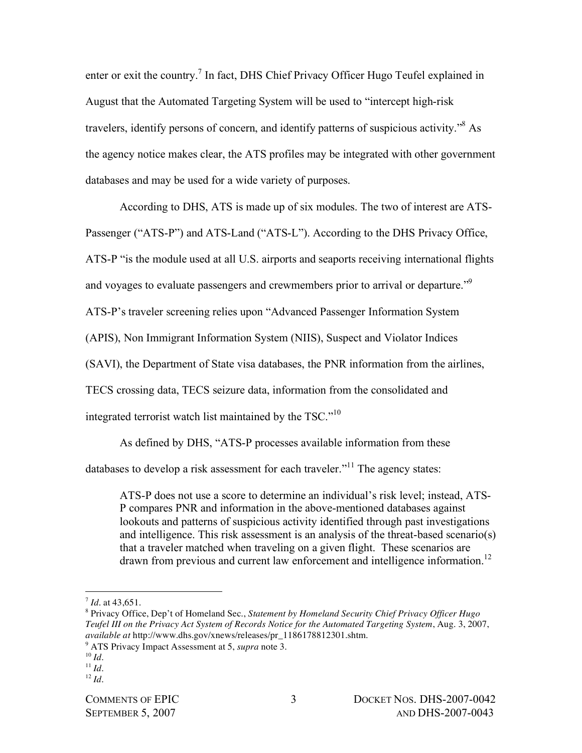enter or exit the country.<sup>7</sup> In fact, DHS Chief Privacy Officer Hugo Teufel explained in August that the Automated Targeting System will be used to "intercept high-risk travelers, identify persons of concern, and identify patterns of suspicious activity." <sup>8</sup> As the agency notice makes clear, the ATS profiles may be integrated with other government databases and may be used for a wide variety of purposes.

According to DHS, ATS is made up of six modules. The two of interest are ATS-

Passenger ("ATS-P") and ATS-Land ("ATS-L"). According to the DHS Privacy Office,

ATS-P "is the module used at all U.S. airports and seaports receiving international flights

and voyages to evaluate passengers and crewmembers prior to arrival or departure."<sup>9</sup>

ATS-P's traveler screening relies upon "Advanced Passenger Information System

(APIS), Non Immigrant Information System (NIIS), Suspect and Violator Indices

(SAVI), the Department of State visa databases, the PNR information from the airlines,

TECS crossing data, TECS seizure data, information from the consolidated and

integrated terrorist watch list maintained by the TSC." $10$ 

As defined by DHS, "ATS-P processes available information from these

databases to develop a risk assessment for each traveler."<sup>11</sup> The agency states:

ATS-P does not use a score to determine an individual's risk level; instead, ATS-P compares PNR and information in the above-mentioned databases against lookouts and patterns of suspicious activity identified through past investigations and intelligence. This risk assessment is an analysis of the threat-based scenario(s) that a traveler matched when traveling on a given flight. These scenarios are drawn from previous and current law enforcement and intelligence information.<sup>12</sup>

 $\overline{a}$ 

 $12 \, Id.$ 

 $^{7}$  *Id.* at 43.651.

<sup>8</sup> Privacy Office, Dep't of Homeland Sec., *Statement by Homeland Security Chief Privacy Officer Hugo Teufel III on the Privacy Act System of Records Notice for the Automated Targeting System*, Aug. 3, 2007, *available at* http://www.dhs.gov/xnews/releases/pr\_1186178812301.shtm.

<sup>9</sup> ATS Privacy Impact Assessment at 5, *supra* note 3.

 $10 \, Id.$ 

 $11$  *Id.*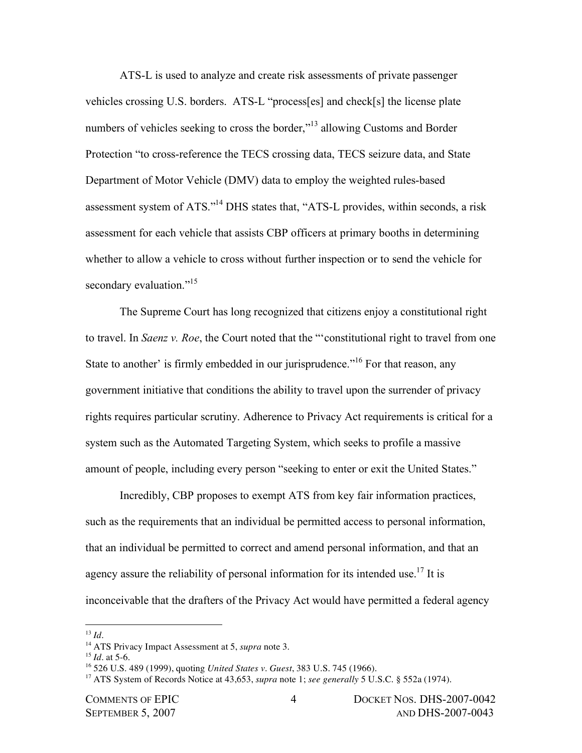ATS-L is used to analyze and create risk assessments of private passenger vehicles crossing U.S. borders. ATS-L "process[es] and check[s] the license plate numbers of vehicles seeking to cross the border,"<sup>13</sup> allowing Customs and Border Protection "to cross-reference the TECS crossing data, TECS seizure data, and State Department of Motor Vehicle (DMV) data to employ the weighted rules-based assessment system of ATS."<sup>14</sup> DHS states that, "ATS-L provides, within seconds, a risk assessment for each vehicle that assists CBP officers at primary booths in determining whether to allow a vehicle to cross without further inspection or to send the vehicle for secondary evaluation."<sup>15</sup>

The Supreme Court has long recognized that citizens enjoy a constitutional right to travel. In *Saenz v. Roe*, the Court noted that the "'constitutional right to travel from one State to another' is firmly embedded in our jurisprudence."<sup>16</sup> For that reason, any government initiative that conditions the ability to travel upon the surrender of privacy rights requires particular scrutiny. Adherence to Privacy Act requirements is critical for a system such as the Automated Targeting System, which seeks to profile a massive amount of people, including every person "seeking to enter or exit the United States."

Incredibly, CBP proposes to exempt ATS from key fair information practices, such as the requirements that an individual be permitted access to personal information, that an individual be permitted to correct and amend personal information, and that an agency assure the reliability of personal information for its intended use.<sup>17</sup> It is inconceivable that the drafters of the Privacy Act would have permitted a federal agency

<sup>13</sup> *Id*.

<sup>14</sup> ATS Privacy Impact Assessment at 5, *supra* note 3.

 $15$  *Id.* at 5-6.

<sup>16</sup> 526 U.S. 489 (1999), quoting *United States v. Guest*, 383 U.S. 745 (1966).

<sup>17</sup> ATS System of Records Notice at 43,653, *supra* note 1; *see generally* 5 U.S.C. § 552a (1974).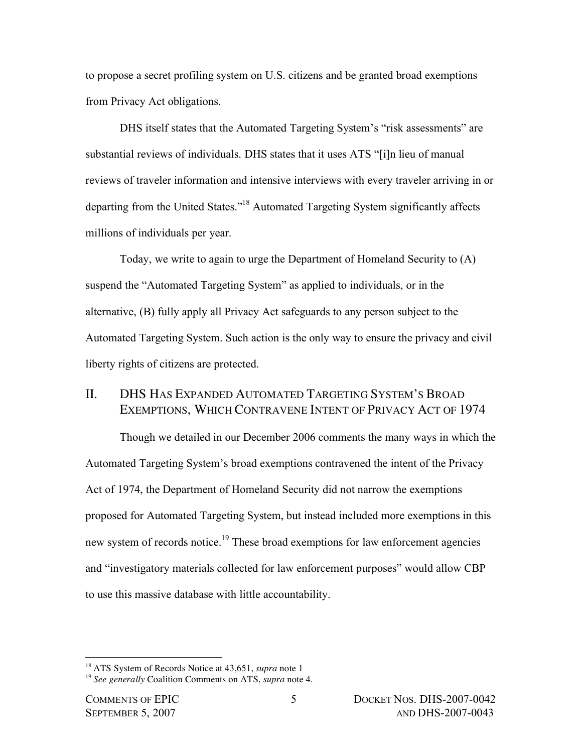to propose a secret profiling system on U.S. citizens and be granted broad exemptions from Privacy Act obligations.

DHS itself states that the Automated Targeting System's "risk assessments" are substantial reviews of individuals. DHS states that it uses ATS "[i]n lieu of manual reviews of traveler information and intensive interviews with every traveler arriving in or departing from the United States."<sup>18</sup> Automated Targeting System significantly affects millions of individuals per year.

Today, we write to again to urge the Department of Homeland Security to (A) suspend the "Automated Targeting System" as applied to individuals, or in the alternative, (B) fully apply all Privacy Act safeguards to any person subject to the Automated Targeting System. Such action is the only way to ensure the privacy and civil liberty rights of citizens are protected.

# II. DHS HAS EXPANDED AUTOMATED TARGETING SYSTEM'S BROAD EXEMPTIONS, WHICH CONTRAVENE INTENT OF PRIVACY ACT OF 1974

Though we detailed in our December 2006 comments the many ways in which the Automated Targeting System's broad exemptions contravened the intent of the Privacy Act of 1974, the Department of Homeland Security did not narrow the exemptions proposed for Automated Targeting System, but instead included more exemptions in this new system of records notice.<sup>19</sup> These broad exemptions for law enforcement agencies and "investigatory materials collected for law enforcement purposes" would allow CBP to use this massive database with little accountability.

<sup>18</sup> ATS System of Records Notice at 43,651, *supra* note 1

<sup>19</sup> *See generally* Coalition Comments on ATS, *supra* note 4.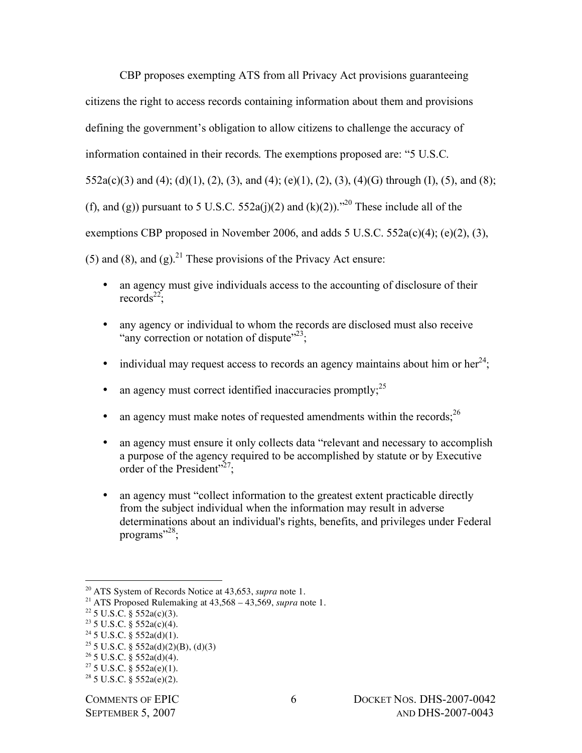CBP proposes exempting ATS from all Privacy Act provisions guaranteeing citizens the right to access records containing information about them and provisions defining the government's obligation to allow citizens to challenge the accuracy of information contained in their records. The exemptions proposed are: "5 U.S.C.  $552a(c)(3)$  and  $(4)$ ;  $(d)(1)$ ,  $(2)$ ,  $(3)$ , and  $(4)$ ;  $(e)(1)$ ,  $(2)$ ,  $(3)$ ,  $(4)(G)$  through  $(I)$ ,  $(5)$ , and  $(8)$ ; (f), and (g)) pursuant to 5 U.S.C. 552a(j)(2) and (k)(2)).<sup>20</sup> These include all of the exemptions CBP proposed in November 2006, and adds  $5 \text{ U.S.C. } 552a(c)(4)$ ; (e)(2), (3), (5) and (8), and (g).<sup>21</sup> These provisions of the Privacy Act ensure:

- an agency must give individuals access to the accounting of disclosure of their records<sup>22</sup>;
- any agency or individual to whom the records are disclosed must also receive "any correction or notation of dispute"<sup>23</sup>;
- individual may request access to records an agency maintains about him or her<sup>24</sup>;
- an agency must correct identified inaccuracies promptly; $^{25}$
- an agency must make notes of requested amendments within the records;  $26$
- an agency must ensure it only collects data "relevant and necessary to accomplish a purpose of the agency required to be accomplished by statute or by Executive order of the President"<sup>27</sup>;
- an agency must "collect information to the greatest extent practicable directly from the subject individual when the information may result in adverse determinations about an individual's rights, benefits, and privileges under Federal programs"<sup>28</sup>;

- <sup>25</sup> 5 U.S.C. § 552a(d)(2)(B), (d)(3)
- $26$  5 U.S.C. § 552a(d)(4).

<sup>20</sup> ATS System of Records Notice at 43,653, *supra* note 1.

<sup>&</sup>lt;sup>21</sup> ATS Proposed Rulemaking at  $43,568 - 43,569$ , *supra* note 1.

 $22$  5 U.S.C. § 552a(c)(3).

 $23$  5 U.S.C. § 552a(c)(4).

 $24$  5 U.S.C. § 552a(d)(1).

 $27\,5$  U.S.C. § 552a(e)(1).

 $28$  5 U.S.C. § 552a(e)(2).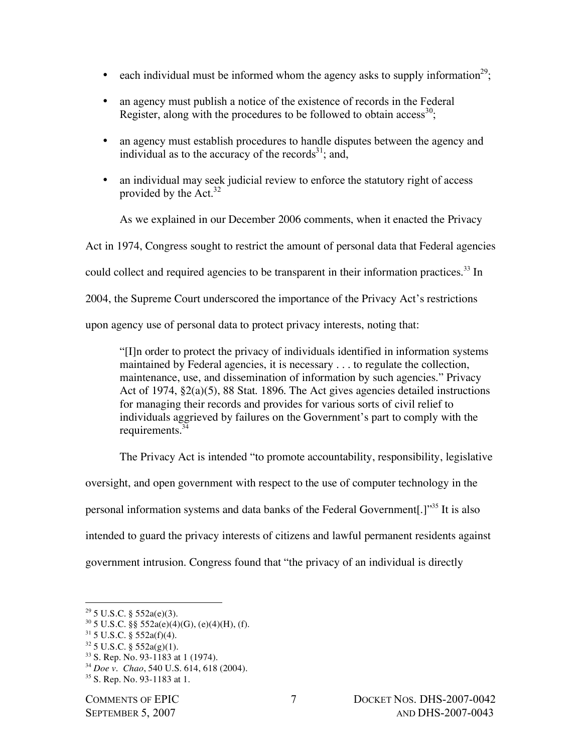- each individual must be informed whom the agency asks to supply information<sup>29</sup>;
- an agency must publish a notice of the existence of records in the Federal Register, along with the procedures to be followed to obtain access<sup>30</sup>;
- an agency must establish procedures to handle disputes between the agency and individual as to the accuracy of the records $^{31}$ ; and,
- an individual may seek judicial review to enforce the statutory right of access provided by the Act.<sup>32</sup>

As we explained in our December 2006 comments, when it enacted the Privacy Act in 1974, Congress sought to restrict the amount of personal data that Federal agencies could collect and required agencies to be transparent in their information practices.<sup>33</sup> In 2004, the Supreme Court underscored the importance of the Privacy Act's restrictions upon agency use of personal data to protect privacy interests, noting that:

"[I]n order to protect the privacy of individuals identified in information systems maintained by Federal agencies, it is necessary . . . to regulate the collection, maintenance, use, and dissemination of information by such agencies." Privacy Act of 1974, §2(a)(5), 88 Stat. 1896. The Act gives agencies detailed instructions for managing their records and provides for various sorts of civil relief to individuals aggrieved by failures on the Government's part to comply with the requirements. 34

The Privacy Act is intended "to promote accountability, responsibility, legislative

oversight, and open government with respect to the use of computer technology in the personal information systems and data banks of the Federal Government[.]"<sup>35</sup> It is also intended to guard the privacy interests of citizens and lawful permanent residents against government intrusion. Congress found that "the privacy of an individual is directly

 $\overline{a}$ 

 $31\,5\,$  U.S.C. § 552a(f)(4).

<sup>33</sup> S. Rep. No. 93-1183 at 1 (1974).

 $29$  5 U.S.C. § 552a(e)(3).

 $30\,5$  U.S.C. §§ 552a(e)(4)(G), (e)(4)(H), (f).

 $32$  5 U.S.C. § 552a(g)(1).

<sup>34</sup> *Doe v. Chao*, 540 U.S. 614, 618 (2004).

<sup>35</sup> S. Rep. No. 93-1183 at 1.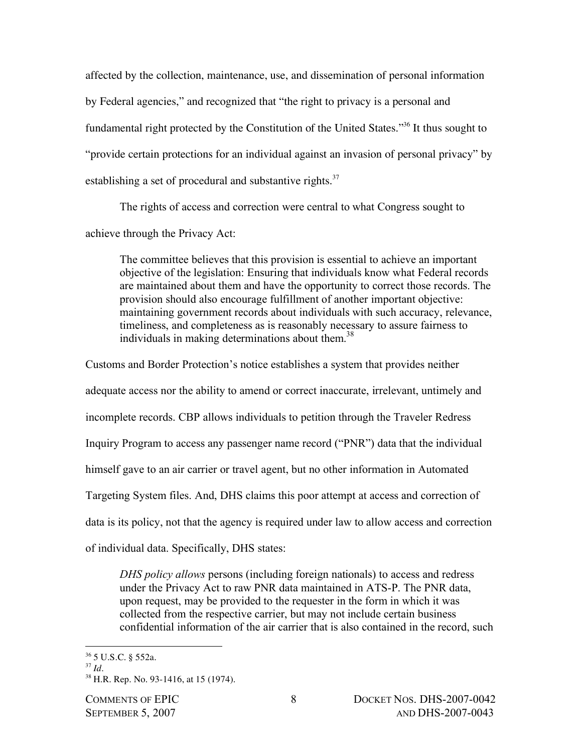affected by the collection, maintenance, use, and dissemination of personal information by Federal agencies," and recognized that "the right to privacy is a personal and fundamental right protected by the Constitution of the United States."36 It thus sought to "provide certain protections for an individual against an invasion of personal privacy" by establishing a set of procedural and substantive rights.<sup>37</sup>

The rights of access and correction were central to what Congress sought to achieve through the Privacy Act:

The committee believes that this provision is essential to achieve an important objective of the legislation: Ensuring that individuals know what Federal records are maintained about them and have the opportunity to correct those records. The provision should also encourage fulfillment of another important objective: maintaining government records about individuals with such accuracy, relevance, timeliness, and completeness as is reasonably necessary to assure fairness to individuals in making determinations about them. 38

Customs and Border Protection's notice establishes a system that provides neither adequate access nor the ability to amend or correct inaccurate, irrelevant, untimely and incomplete records. CBP allows individuals to petition through the Traveler Redress Inquiry Program to access any passenger name record ("PNR") data that the individual himself gave to an air carrier or travel agent, but no other information in Automated Targeting System files. And, DHS claims this poor attempt at access and correction of data is its policy, not that the agency is required under law to allow access and correction of individual data. Specifically, DHS states:

*DHS policy allows* persons (including foreign nationals) to access and redress under the Privacy Act to raw PNR data maintained in ATS-P. The PNR data, upon request, may be provided to the requester in the form in which it was collected from the respective carrier, but may not include certain business confidential information of the air carrier that is also contained in the record, such

<sup>36</sup> 5 U.S.C. § 552a.

<sup>37</sup> *Id*.

<sup>38</sup> H.R. Rep. No. 93-1416, at 15 (1974).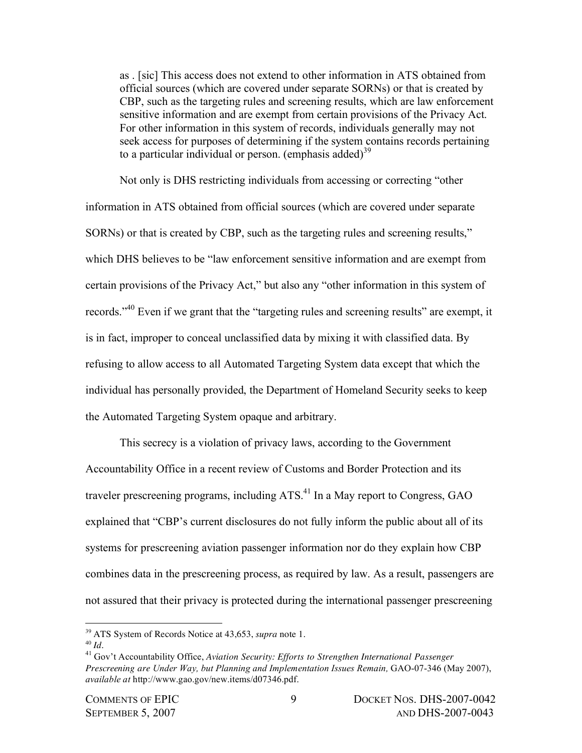as . [sic] This access does not extend to other information in ATS obtained from official sources (which are covered under separate SORNs) or that is created by CBP, such as the targeting rules and screening results, which are law enforcement sensitive information and are exempt from certain provisions of the Privacy Act. For other information in this system of records, individuals generally may not seek access for purposes of determining if the system contains records pertaining to a particular individual or person. (emphasis added)<sup>39</sup>

Not only is DHS restricting individuals from accessing or correcting "other information in ATS obtained from official sources (which are covered under separate SORNs) or that is created by CBP, such as the targeting rules and screening results," which DHS believes to be "law enforcement sensitive information and are exempt from certain provisions of the Privacy Act," but also any "other information in this system of records."<sup>40</sup> Even if we grant that the "targeting rules and screening results" are exempt, it is in fact, improper to conceal unclassified data by mixing it with classified data. By refusing to allow access to all Automated Targeting System data except that which the individual has personally provided, the Department of Homeland Security seeks to keep the Automated Targeting System opaque and arbitrary.

This secrecy is a violation of privacy laws, according to the Government Accountability Office in a recent review of Customs and Border Protection and its traveler prescreening programs, including ATS.<sup>41</sup> In a May report to Congress, GAO explained that "CBP's current disclosures do not fully inform the public about all of its systems for prescreening aviation passenger information nor do they explain how CBP combines data in the prescreening process, as required by law. As a result, passengers are not assured that their privacy is protected during the international passenger prescreening

<sup>39</sup> ATS System of Records Notice at 43,653, *supra* note 1.

<sup>40</sup> *Id*. <sup>41</sup> Gov't Accountability Office, *Aviation Security: Efforts to Strengthen International Passenger Prescreening are Under Way, but Planning and Implementation Issues Remain,* GAO-07-346 (May 2007), *available at* http://www.gao.gov/new.items/d07346.pdf.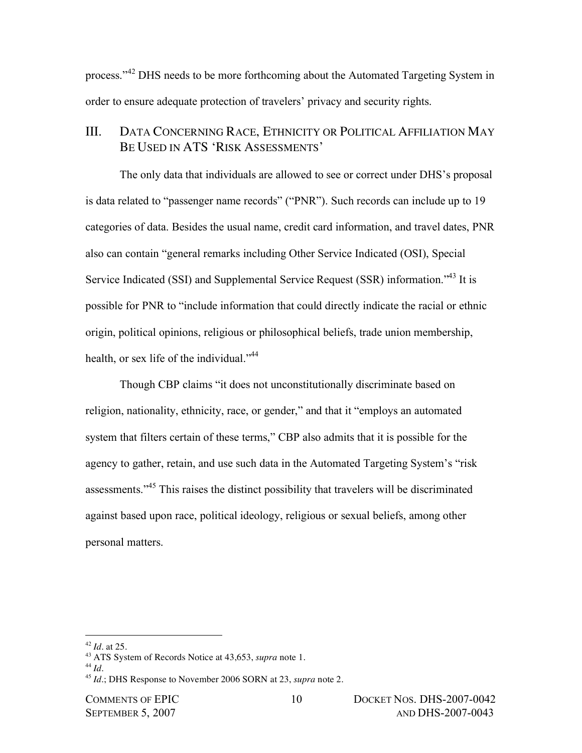process."<sup>42</sup> DHS needs to be more forthcoming about the Automated Targeting System in order to ensure adequate protection of travelers' privacy and security rights.

## III. DATA CONCERNING RACE, ETHNICITY OR POLITICAL AFFILIATION MAY BE USED IN ATS 'RISK ASSESSMENTS'

The only data that individuals are allowed to see or correct under DHS's proposal is data related to "passenger name records" ("PNR"). Such records can include up to 19 categories of data. Besides the usual name, credit card information, and travel dates, PNR also can contain "general remarks including Other Service Indicated (OSI), Special Service Indicated (SSI) and Supplemental Service Request (SSR) information."<sup>43</sup> It is possible for PNR to "include information that could directly indicate the racial or ethnic origin, political opinions, religious or philosophical beliefs, trade union membership, health, or sex life of the individual."<sup>44</sup>

Though CBP claims "it does not unconstitutionally discriminate based on religion, nationality, ethnicity, race, or gender," and that it "employs an automated system that filters certain of these terms," CBP also admits that it is possible for the agency to gather, retain, and use such data in the Automated Targeting System's "risk assessments."<sup>45</sup> This raises the distinct possibility that travelers will be discriminated against based upon race, political ideology, religious or sexual beliefs, among other personal matters.

<sup>42</sup> *Id*. at 25.

<sup>43</sup> ATS System of Records Notice at 43,653, *supra* note 1.

<sup>44</sup> *Id*.

<sup>45</sup> *Id*.; DHS Response to November 2006 SORN at 23, *supra* note 2.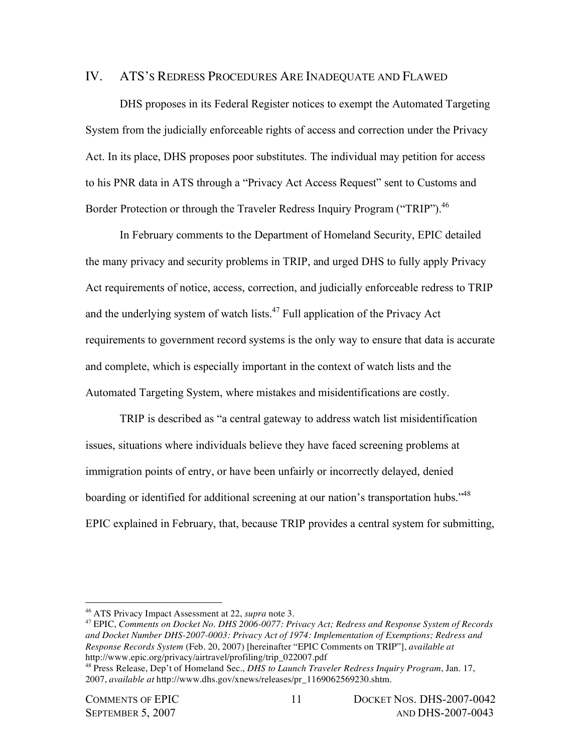#### IV. ATS'S REDRESS PROCEDURES ARE INADEQUATE AND FLAWED

DHS proposes in its Federal Register notices to exempt the Automated Targeting System from the judicially enforceable rights of access and correction under the Privacy Act. In its place, DHS proposes poor substitutes. The individual may petition for access to his PNR data in ATS through a "Privacy Act Access Request" sent to Customs and Border Protection or through the Traveler Redress Inquiry Program ("TRIP").<sup>46</sup>

In February comments to the Department of Homeland Security, EPIC detailed the many privacy and security problems in TRIP, and urged DHS to fully apply Privacy Act requirements of notice, access, correction, and judicially enforceable redress to TRIP and the underlying system of watch lists.<sup>47</sup> Full application of the Privacy Act requirements to government record systems is the only way to ensure that data is accurate and complete, which is especially important in the context of watch lists and the Automated Targeting System, where mistakes and misidentifications are costly.

TRIP is described as "a central gateway to address watch list misidentification issues, situations where individuals believe they have faced screening problems at immigration points of entry, or have been unfairly or incorrectly delayed, denied boarding or identified for additional screening at our nation's transportation hubs."<sup>48</sup> EPIC explained in February, that, because TRIP provides a central system for submitting,

<sup>46</sup> ATS Privacy Impact Assessment at 22, *supra* note 3.

<sup>47</sup> EPIC, *Comments on Docket No. DHS 2006-0077: Privacy Act; Redress and Response System of Records and Docket Number DHS-2007-0003: Privacy Act of 1974: Implementation of Exemptions; Redress and Response Records System* (Feb. 20, 2007) [hereinafter "EPIC Comments on TRIP"], *available at* http://www.epic.org/privacy/airtravel/profiling/trip\_022007.pdf

<sup>48</sup> Press Release, Dep't of Homeland Sec., *DHS to Launch Traveler Redress Inquiry Program*, Jan. 17, 2007, *available at* http://www.dhs.gov/xnews/releases/pr\_1169062569230.shtm.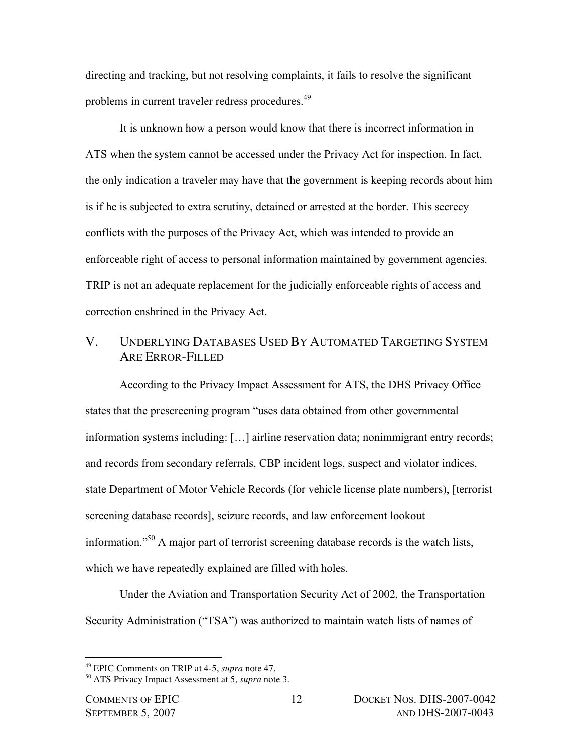directing and tracking, but not resolving complaints, it fails to resolve the significant problems in current traveler redress procedures.<sup>49</sup>

It is unknown how a person would know that there is incorrect information in ATS when the system cannot be accessed under the Privacy Act for inspection. In fact, the only indication a traveler may have that the government is keeping records about him is if he is subjected to extra scrutiny, detained or arrested at the border. This secrecy conflicts with the purposes of the Privacy Act, which was intended to provide an enforceable right of access to personal information maintained by government agencies. TRIP is not an adequate replacement for the judicially enforceable rights of access and correction enshrined in the Privacy Act.

# V. UNDERLYING DATABASES USED BY AUTOMATED TARGETING SYSTEM ARE ERROR-FILLED

According to the Privacy Impact Assessment for ATS, the DHS Privacy Office states that the prescreening program "uses data obtained from other governmental information systems including: […] airline reservation data; nonimmigrant entry records; and records from secondary referrals, CBP incident logs, suspect and violator indices, state Department of Motor Vehicle Records (for vehicle license plate numbers), [terrorist screening database records], seizure records, and law enforcement lookout information."<sup>50</sup> A major part of terrorist screening database records is the watch lists, which we have repeatedly explained are filled with holes.

Under the Aviation and Transportation Security Act of 2002, the Transportation Security Administration ("TSA") was authorized to maintain watch lists of names of

<sup>49</sup> EPIC Comments on TRIP at 4-5, *supra* note 47.

<sup>50</sup> ATS Privacy Impact Assessment at 5, *supra* note 3.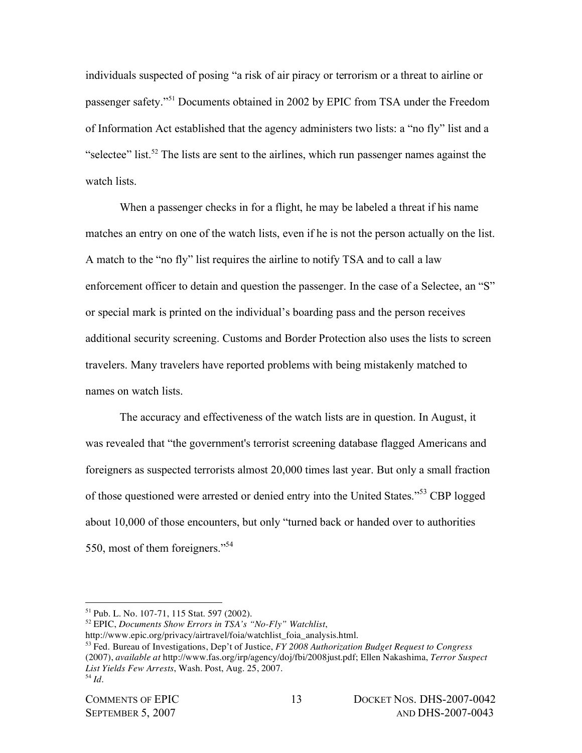individuals suspected of posing "a risk of air piracy or terrorism or a threat to airline or passenger safety."<sup>51</sup> Documents obtained in 2002 by EPIC from TSA under the Freedom of Information Act established that the agency administers two lists: a "no fly" list and a "selectee" list.<sup>52</sup> The lists are sent to the airlines, which run passenger names against the watch lists.

When a passenger checks in for a flight, he may be labeled a threat if his name matches an entry on one of the watch lists, even if he is not the person actually on the list. A match to the "no fly" list requires the airline to notify TSA and to call a law enforcement officer to detain and question the passenger. In the case of a Selectee, an "S" or special mark is printed on the individual's boarding pass and the person receives additional security screening. Customs and Border Protection also uses the lists to screen travelers. Many travelers have reported problems with being mistakenly matched to names on watch lists.

The accuracy and effectiveness of the watch lists are in question. In August, it was revealed that "the government's terrorist screening database flagged Americans and foreigners as suspected terrorists almost 20,000 times last year. But only a small fraction of those questioned were arrested or denied entry into the United States."<sup>53</sup> CBP logged about 10,000 of those encounters, but only "turned back or handed over to authorities 550, most of them foreigners."<sup>54</sup>

<sup>51</sup> Pub. L. No. 107-71, 115 Stat. 597 (2002).

<sup>52</sup> EPIC, *Documents Show Errors in TSA's "No-Fly" Watchlist*,

http://www.epic.org/privacy/airtravel/foia/watchlist\_foia\_analysis.html.

<sup>53</sup> Fed. Bureau of Investigations, Dep't of Justice, *FY 2008 Authorization Budget Request to Congress* (2007), *available at* http://www.fas.org/irp/agency/doj/fbi/2008just.pdf; Ellen Nakashima, *Terror Suspect List Yields Few Arrests*, Wash. Post, Aug. 25, 2007. <sup>54</sup> *Id*.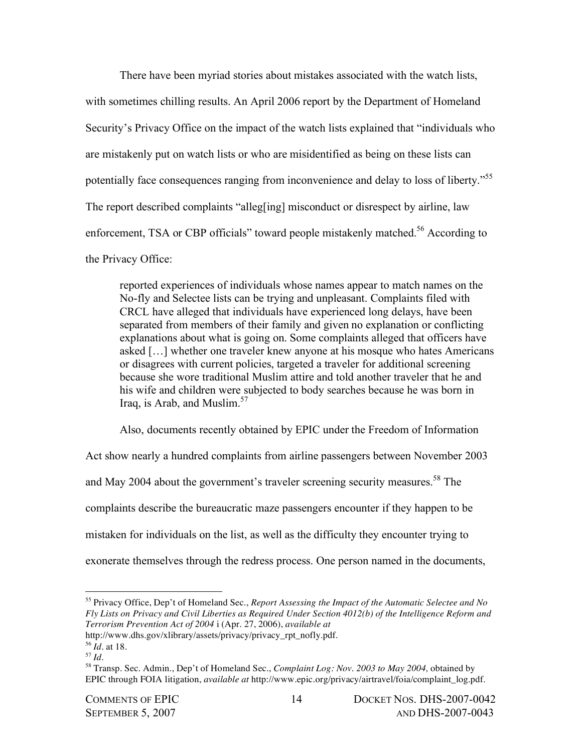There have been myriad stories about mistakes associated with the watch lists, with sometimes chilling results. An April 2006 report by the Department of Homeland Security's Privacy Office on the impact of the watch lists explained that "individuals who are mistakenly put on watch lists or who are misidentified as being on these lists can potentially face consequences ranging from inconvenience and delay to loss of liberty."<sup>55</sup> The report described complaints "alleg[ing] misconduct or disrespect by airline, law enforcement, TSA or CBP officials" toward people mistakenly matched.<sup>56</sup> According to the Privacy Office:

reported experiences of individuals whose names appear to match names on the No-fly and Selectee lists can be trying and unpleasant. Complaints filed with CRCL have alleged that individuals have experienced long delays, have been separated from members of their family and given no explanation or conflicting explanations about what is going on. Some complaints alleged that officers have asked […] whether one traveler knew anyone at his mosque who hates Americans or disagrees with current policies, targeted a traveler for additional screening because she wore traditional Muslim attire and told another traveler that he and his wife and children were subjected to body searches because he was born in Iraq, is Arab, and Muslim.<sup>57</sup>

Also, documents recently obtained by EPIC under the Freedom of Information

Act show nearly a hundred complaints from airline passengers between November 2003 and May 2004 about the government's traveler screening security measures.<sup>58</sup> The complaints describe the bureaucratic maze passengers encounter if they happen to be mistaken for individuals on the list, as well as the difficulty they encounter trying to

exonerate themselves through the redress process. One person named in the documents,

<sup>55</sup> Privacy Office, Dep't of Homeland Sec., *Report Assessing the Impact of the Automatic Selectee and No Fly Lists on Privacy and Civil Liberties as Required Under Section 4012(b) of the Intelligence Reform and Terrorism Prevention Act of 2004* i (Apr. 27, 2006), *available at*

http://www.dhs.gov/xlibrary/assets/privacy/privacy\_rpt\_nofly.pdf.

<sup>56</sup> *Id.* at 18.

<sup>57</sup> *Id.*

<sup>58</sup> Transp. Sec. Admin., Dep't of Homeland Sec., *Complaint Log: Nov. 2003 to May 2004,* obtained by EPIC through FOIA litigation, *available at* http://www.epic.org/privacy/airtravel/foia/complaint\_log.pdf.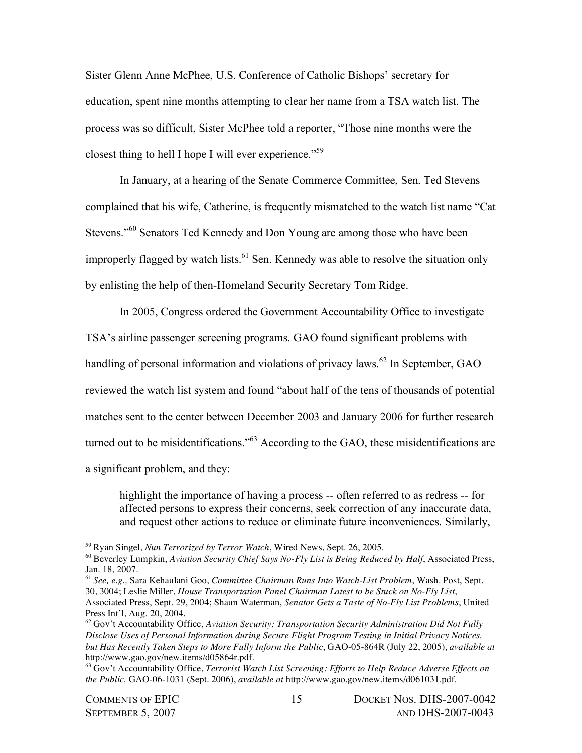Sister Glenn Anne McPhee, U.S. Conference of Catholic Bishops' secretary for education, spent nine months attempting to clear her name from a TSA watch list. The process was so difficult, Sister McPhee told a reporter, "Those nine months were the closest thing to hell I hope I will ever experience."<sup>59</sup>

In January, at a hearing of the Senate Commerce Committee, Sen. Ted Stevens complained that his wife, Catherine, is frequently mismatched to the watch list name "Cat Stevens."<sup>60</sup> Senators Ted Kennedy and Don Young are among those who have been improperly flagged by watch lists.<sup>61</sup> Sen. Kennedy was able to resolve the situation only by enlisting the help of then-Homeland Security Secretary Tom Ridge.

In 2005, Congress ordered the Government Accountability Office to investigate TSA's airline passenger screening programs. GAO found significant problems with handling of personal information and violations of privacy laws.<sup>62</sup> In September, GAO reviewed the watch list system and found "about half of the tens of thousands of potential matches sent to the center between December 2003 and January 2006 for further research turned out to be misidentifications."<sup>63</sup> According to the GAO, these misidentifications are a significant problem, and they:

highlight the importance of having a process -- often referred to as redress -- for affected persons to express their concerns, seek correction of any inaccurate data, and request other actions to reduce or eliminate future inconveniences. Similarly,

<sup>59</sup> Ryan Singel, *Nun Terrorized by Terror Watch*, Wired News, Sept. 26, 2005.

<sup>60</sup> Beverley Lumpkin, *Aviation Security Chief Says No-Fly List is Being Reduced by Half*, Associated Press, Jan. 18, 2007.

<sup>61</sup> *See, e.g.,* Sara Kehaulani Goo, *Committee Chairman Runs Into Watch-List Problem*, Wash. Post, Sept. 30, 3004; Leslie Miller, *House Transportation Panel Chairman Latest to be Stuck on No-Fly List*, Associated Press, Sept. 29, 2004; Shaun Waterman, *Senator Gets a Taste of No-Fly List Problems*, United Press Int'l, Aug. 20, 2004.

<sup>62</sup> Gov't Accountability Office, *Aviation Security: Transportation Security Administration Did Not Fully Disclose Uses of Personal Information during Secure Flight Program Testing in Initial Privacy Notices, but Has Recently Taken Steps to More Fully Inform the Public*, GAO-05-864R (July 22, 2005), *available at* http://www.gao.gov/new.items/d05864r.pdf.

<sup>63</sup> Gov't Accountability Office, *Terrorist Watch List Screening: Efforts to Help Reduce Adverse Effects on the Public,* GAO-06-1031 (Sept. 2006), *available at* http://www.gao.gov/new.items/d061031.pdf.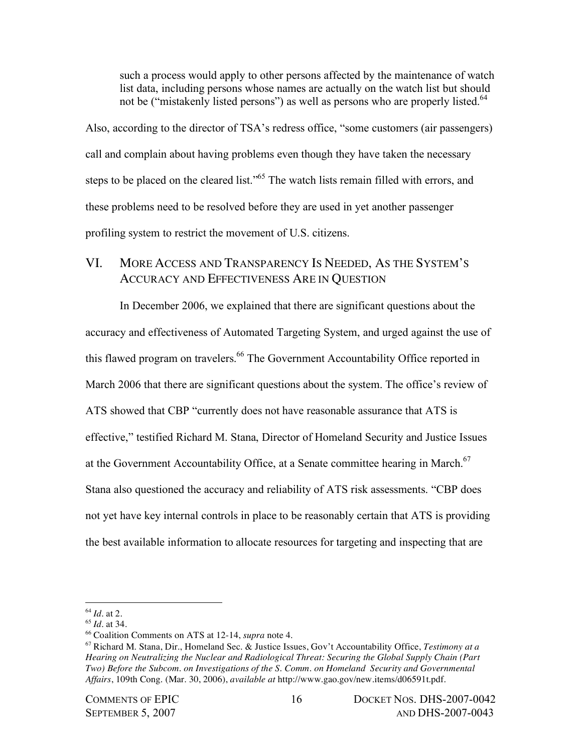such a process would apply to other persons affected by the maintenance of watch list data, including persons whose names are actually on the watch list but should not be ("mistakenly listed persons") as well as persons who are properly listed.<sup>64</sup>

Also, according to the director of TSA's redress office, "some customers (air passengers) call and complain about having problems even though they have taken the necessary steps to be placed on the cleared list."<sup>65</sup> The watch lists remain filled with errors, and these problems need to be resolved before they are used in yet another passenger profiling system to restrict the movement of U.S. citizens.

# VI. MORE ACCESS AND TRANSPARENCY IS NEEDED, AS THE SYSTEM'S ACCURACY AND EFFECTIVENESS ARE IN QUESTION

In December 2006, we explained that there are significant questions about the accuracy and effectiveness of Automated Targeting System, and urged against the use of this flawed program on travelers.<sup>66</sup> The Government Accountability Office reported in March 2006 that there are significant questions about the system. The office's review of ATS showed that CBP "currently does not have reasonable assurance that ATS is effective," testified Richard M. Stana, Director of Homeland Security and Justice Issues at the Government Accountability Office, at a Senate committee hearing in March. $67$ Stana also questioned the accuracy and reliability of ATS risk assessments. "CBP does not yet have key internal controls in place to be reasonably certain that ATS is providing the best available information to allocate resources for targeting and inspecting that are

 $\overline{a}$ <sup>64</sup> *Id*. at 2.

<sup>65</sup> *Id*. at 34.

<sup>66</sup> Coalition Comments on ATS at 12-14, *supra* note 4.

<sup>67</sup> Richard M. Stana, Dir., Homeland Sec. & Justice Issues, Gov't Accountability Office, *Testimony at a Hearing on Neutralizing the Nuclear and Radiological Threat: Securing the Global Supply Chain (Part Two) Before the Subcom. on Investigations of the S. Comm. on Homeland Security and Governmental Affairs*, 109th Cong. (Mar. 30, 2006), *available at* http://www.gao.gov/new.items/d06591t.pdf.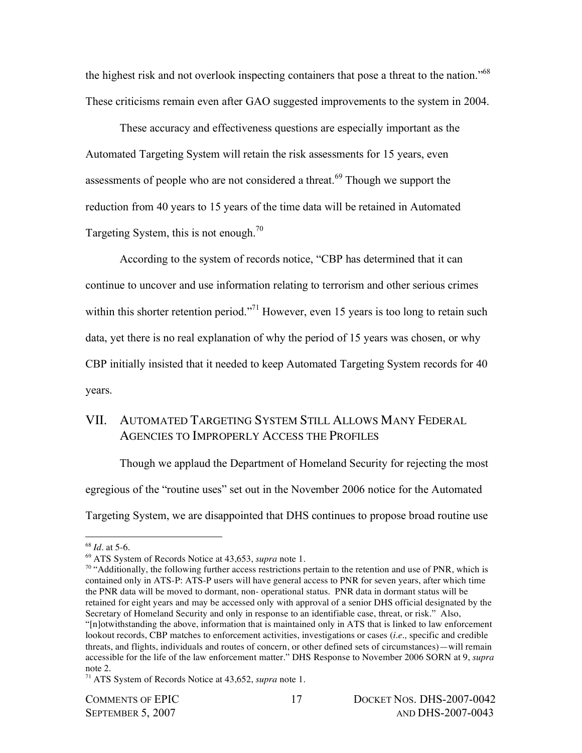the highest risk and not overlook inspecting containers that pose a threat to the nation."<sup>68</sup> These criticisms remain even after GAO suggested improvements to the system in 2004.

These accuracy and effectiveness questions are especially important as the Automated Targeting System will retain the risk assessments for 15 years, even assessments of people who are not considered a threat.<sup>69</sup> Though we support the reduction from 40 years to 15 years of the time data will be retained in Automated Targeting System, this is not enough.<sup>70</sup>

According to the system of records notice, "CBP has determined that it can continue to uncover and use information relating to terrorism and other serious crimes within this shorter retention period."<sup>71</sup> However, even 15 years is too long to retain such data, yet there is no real explanation of why the period of 15 years was chosen, or why CBP initially insisted that it needed to keep Automated Targeting System records for 40 years.

## VII. AUTOMATED TARGETING SYSTEM STILL ALLOWS MANY FEDERAL AGENCIES TO IMPROPERLY ACCESS THE PROFILES

Though we applaud the Department of Homeland Security for rejecting the most egregious of the "routine uses" set out in the November 2006 notice for the Automated Targeting System, we are disappointed that DHS continues to propose broad routine use

<sup>68</sup> *Id*. at 5-6.

<sup>69</sup> ATS System of Records Notice at 43,653, *supra* note 1.

<sup>&</sup>lt;sup>70</sup> "Additionally, the following further access restrictions pertain to the retention and use of PNR, which is contained only in ATS-P: ATS-P users will have general access to PNR for seven years, after which time the PNR data will be moved to dormant, non- operational status. PNR data in dormant status will be retained for eight years and may be accessed only with approval of a senior DHS official designated by the Secretary of Homeland Security and only in response to an identifiable case, threat, or risk." Also, "[n]otwithstanding the above, information that is maintained only in ATS that is linked to law enforcement lookout records, CBP matches to enforcement activities, investigations or cases (*i.e.,* specific and credible threats, and flights, individuals and routes of concern, or other defined sets of circumstances)—will remain accessible for the life of the law enforcement matter." DHS Response to November 2006 SORN at 9, *supra* note 2.

<sup>71</sup> ATS System of Records Notice at 43,652, *supra* note 1.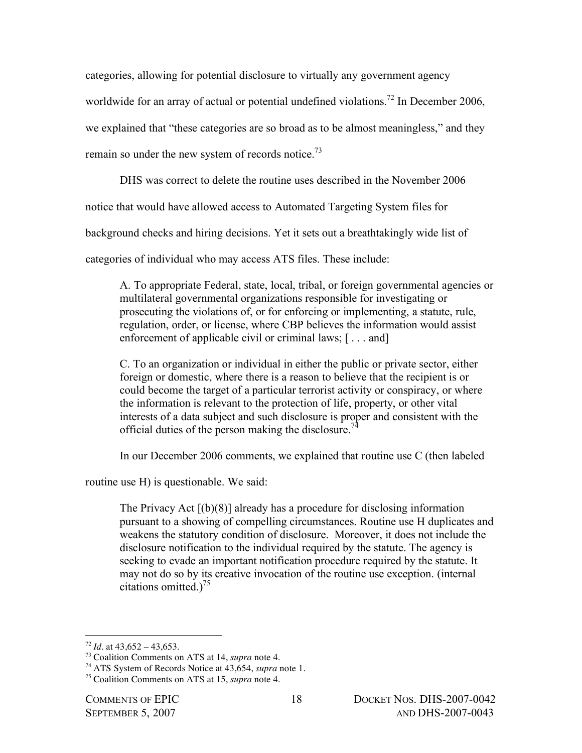categories, allowing for potential disclosure to virtually any government agency

worldwide for an array of actual or potential undefined violations.<sup>72</sup> In December 2006,

we explained that "these categories are so broad as to be almost meaningless," and they

remain so under the new system of records notice.<sup>73</sup>

DHS was correct to delete the routine uses described in the November 2006

notice that would have allowed access to Automated Targeting System files for

background checks and hiring decisions. Yet it sets out a breathtakingly wide list of

categories of individual who may access ATS files. These include:

A. To appropriate Federal, state, local, tribal, or foreign governmental agencies or multilateral governmental organizations responsible for investigating or prosecuting the violations of, or for enforcing or implementing, a statute, rule, regulation, order, or license, where CBP believes the information would assist enforcement of applicable civil or criminal laws; [... and]

C. To an organization or individual in either the public or private sector, either foreign or domestic, where there is a reason to believe that the recipient is or could become the target of a particular terrorist activity or conspiracy, or where the information is relevant to the protection of life, property, or other vital interests of a data subject and such disclosure is proper and consistent with the official duties of the person making the disclosure.<sup>74</sup>

In our December 2006 comments, we explained that routine use C (then labeled

routine use H) is questionable. We said:

The Privacy Act [(b)(8)] already has a procedure for disclosing information pursuant to a showing of compelling circumstances. Routine use H duplicates and weakens the statutory condition of disclosure. Moreover, it does not include the disclosure notification to the individual required by the statute. The agency is seeking to evade an important notification procedure required by the statute. It may not do so by its creative invocation of the routine use exception. (internal citations omitted.) 75

 $\overline{a}$  $72$  *Id.* at  $43.652 - 43.653$ .

<sup>73</sup> Coalition Comments on ATS at 14, *supra* note 4.

<sup>74</sup> ATS System of Records Notice at 43,654, *supra* note 1.

<sup>75</sup> Coalition Comments on ATS at 15, *supra* note 4.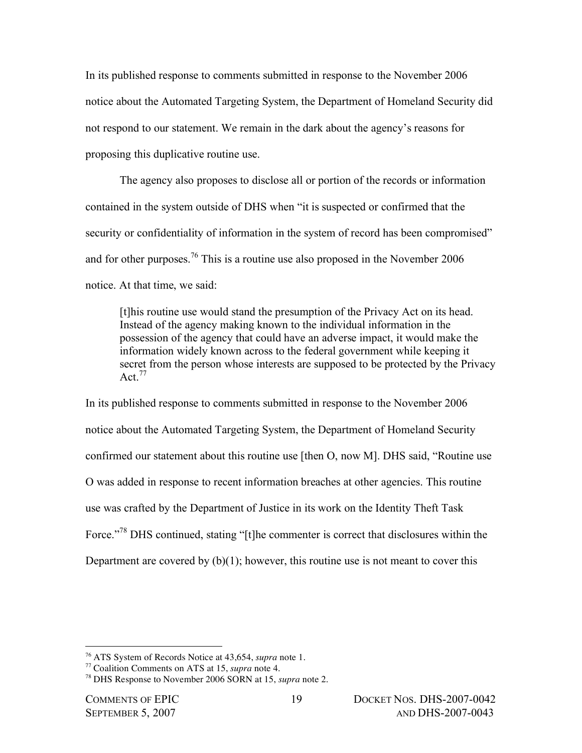In its published response to comments submitted in response to the November 2006 notice about the Automated Targeting System, the Department of Homeland Security did not respond to our statement. We remain in the dark about the agency's reasons for proposing this duplicative routine use.

The agency also proposes to disclose all or portion of the records or information contained in the system outside of DHS when "it is suspected or confirmed that the security or confidentiality of information in the system of record has been compromised" and for other purposes.<sup>76</sup> This is a routine use also proposed in the November 2006 notice. At that time, we said:

[t]his routine use would stand the presumption of the Privacy Act on its head. Instead of the agency making known to the individual information in the possession of the agency that could have an adverse impact, it would make the information widely known across to the federal government while keeping it secret from the person whose interests are supposed to be protected by the Privacy Act. $77$ 

In its published response to comments submitted in response to the November 2006 notice about the Automated Targeting System, the Department of Homeland Security confirmed our statement about this routine use [then O, now M]. DHS said, "Routine use O was added in response to recent information breaches at other agencies. This routine use was crafted by the Department of Justice in its work on the Identity Theft Task Force."<sup>78</sup> DHS continued, stating "[t]he commenter is correct that disclosures within the Department are covered by  $(b)(1)$ ; however, this routine use is not meant to cover this

<sup>76</sup> ATS System of Records Notice at 43,654, *supra* note 1.

<sup>77</sup> Coalition Comments on ATS at 15, *supra* note 4.

<sup>78</sup> DHS Response to November 2006 SORN at 15, *supra* note 2.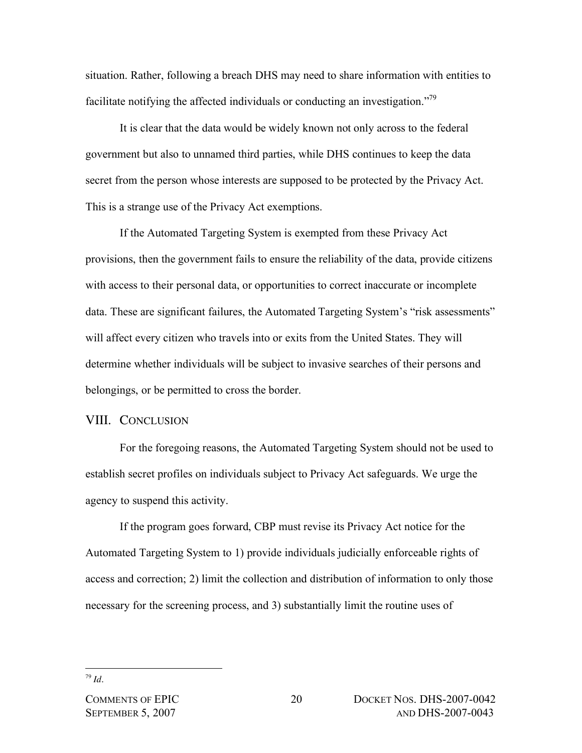situation. Rather, following a breach DHS may need to share information with entities to facilitate notifying the affected individuals or conducting an investigation.<sup> $79$ </sup>

It is clear that the data would be widely known not only across to the federal government but also to unnamed third parties, while DHS continues to keep the data secret from the person whose interests are supposed to be protected by the Privacy Act. This is a strange use of the Privacy Act exemptions.

If the Automated Targeting System is exempted from these Privacy Act provisions, then the government fails to ensure the reliability of the data, provide citizens with access to their personal data, or opportunities to correct inaccurate or incomplete data. These are significant failures, the Automated Targeting System's "risk assessments" will affect every citizen who travels into or exits from the United States. They will determine whether individuals will be subject to invasive searches of their persons and belongings, or be permitted to cross the border.

#### VIII. CONCLUSION

For the foregoing reasons, the Automated Targeting System should not be used to establish secret profiles on individuals subject to Privacy Act safeguards. We urge the agency to suspend this activity.

If the program goes forward, CBP must revise its Privacy Act notice for the Automated Targeting System to 1) provide individuals judicially enforceable rights of access and correction; 2) limit the collection and distribution of information to only those necessary for the screening process, and 3) substantially limit the routine uses of

<sup>79</sup> *Id*.